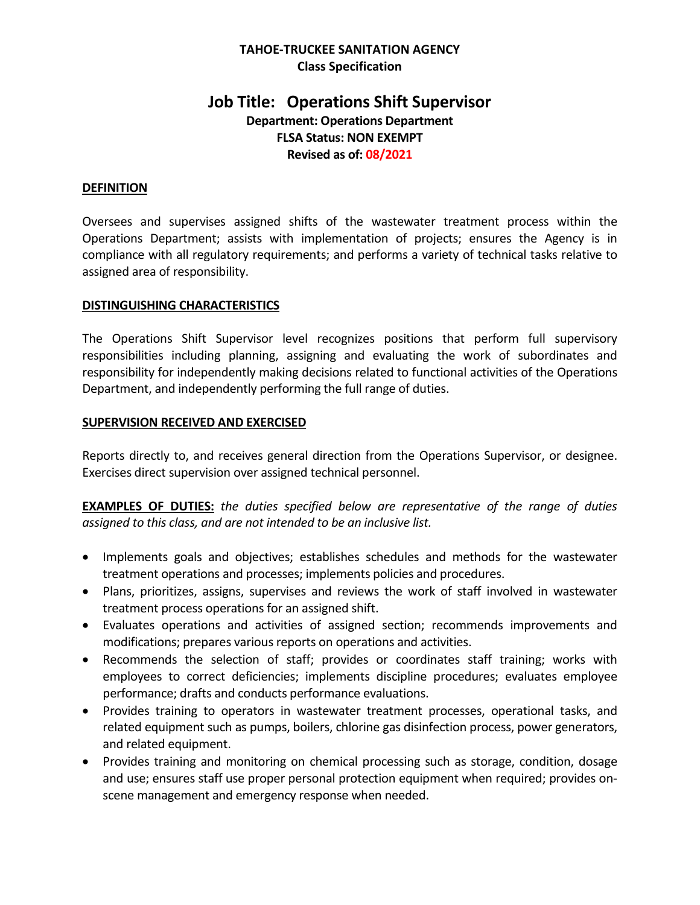## **TAHOE-TRUCKEE SANITATION AGENCY Class Specification**

# **Job Title: Operations Shift Supervisor**

**Department: Operations Department FLSA Status: NON EXEMPT Revised as of: 08/2021**

## **DEFINITION**

Oversees and supervises assigned shifts of the wastewater treatment process within the Operations Department; assists with implementation of projects; ensures the Agency is in compliance with all regulatory requirements; and performs a variety of technical tasks relative to assigned area of responsibility.

#### **DISTINGUISHING CHARACTERISTICS**

The Operations Shift Supervisor level recognizes positions that perform full supervisory responsibilities including planning, assigning and evaluating the work of subordinates and responsibility for independently making decisions related to functional activities of the Operations Department, and independently performing the full range of duties.

## **SUPERVISION RECEIVED AND EXERCISED**

Reports directly to, and receives general direction from the Operations Supervisor, or designee. Exercises direct supervision over assigned technical personnel.

**EXAMPLES OF DUTIES:** *the duties specified below are representative of the range of duties assigned to this class, and are not intended to be an inclusive list.*

- Implements goals and objectives; establishes schedules and methods for the wastewater treatment operations and processes; implements policies and procedures.
- Plans, prioritizes, assigns, supervises and reviews the work of staff involved in wastewater treatment process operations for an assigned shift.
- Evaluates operations and activities of assigned section; recommends improvements and modifications; prepares various reports on operations and activities.
- Recommends the selection of staff; provides or coordinates staff training; works with employees to correct deficiencies; implements discipline procedures; evaluates employee performance; drafts and conducts performance evaluations.
- Provides training to operators in wastewater treatment processes, operational tasks, and related equipment such as pumps, boilers, chlorine gas disinfection process, power generators, and related equipment.
- Provides training and monitoring on chemical processing such as storage, condition, dosage and use; ensures staff use proper personal protection equipment when required; provides onscene management and emergency response when needed.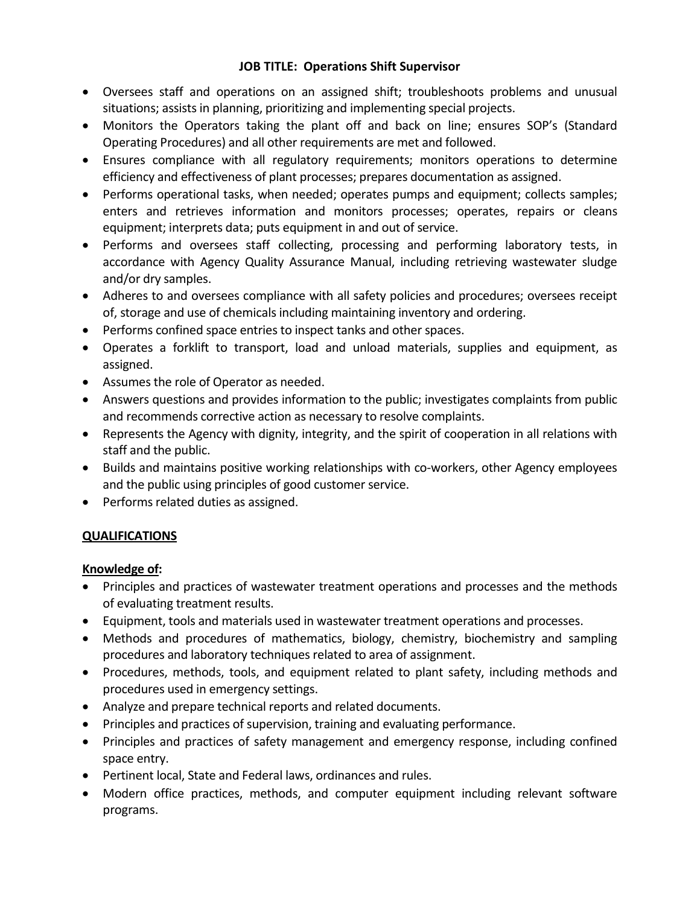- Oversees staff and operations on an assigned shift; troubleshoots problems and unusual situations; assists in planning, prioritizing and implementing special projects.
- Monitors the Operators taking the plant off and back on line; ensures SOP's (Standard Operating Procedures) and all other requirements are met and followed.
- Ensures compliance with all regulatory requirements; monitors operations to determine efficiency and effectiveness of plant processes; prepares documentation as assigned.
- Performs operational tasks, when needed; operates pumps and equipment; collects samples; enters and retrieves information and monitors processes; operates, repairs or cleans equipment; interprets data; puts equipment in and out of service.
- Performs and oversees staff collecting, processing and performing laboratory tests, in accordance with Agency Quality Assurance Manual, including retrieving wastewater sludge and/or dry samples.
- Adheres to and oversees compliance with all safety policies and procedures; oversees receipt of, storage and use of chemicals including maintaining inventory and ordering.
- Performs confined space entries to inspect tanks and other spaces.
- Operates a forklift to transport, load and unload materials, supplies and equipment, as assigned.
- Assumes the role of Operator as needed.
- Answers questions and provides information to the public; investigates complaints from public and recommends corrective action as necessary to resolve complaints.
- Represents the Agency with dignity, integrity, and the spirit of cooperation in all relations with staff and the public.
- Builds and maintains positive working relationships with co-workers, other Agency employees and the public using principles of good customer service.
- Performs related duties as assigned.

## **QUALIFICATIONS**

## **Knowledge of:**

- Principles and practices of wastewater treatment operations and processes and the methods of evaluating treatment results.
- Equipment, tools and materials used in wastewater treatment operations and processes.
- Methods and procedures of mathematics, biology, chemistry, biochemistry and sampling procedures and laboratory techniques related to area of assignment.
- Procedures, methods, tools, and equipment related to plant safety, including methods and procedures used in emergency settings.
- Analyze and prepare technical reports and related documents.
- Principles and practices of supervision, training and evaluating performance.
- Principles and practices of safety management and emergency response, including confined space entry.
- Pertinent local, State and Federal laws, ordinances and rules.
- Modern office practices, methods, and computer equipment including relevant software programs.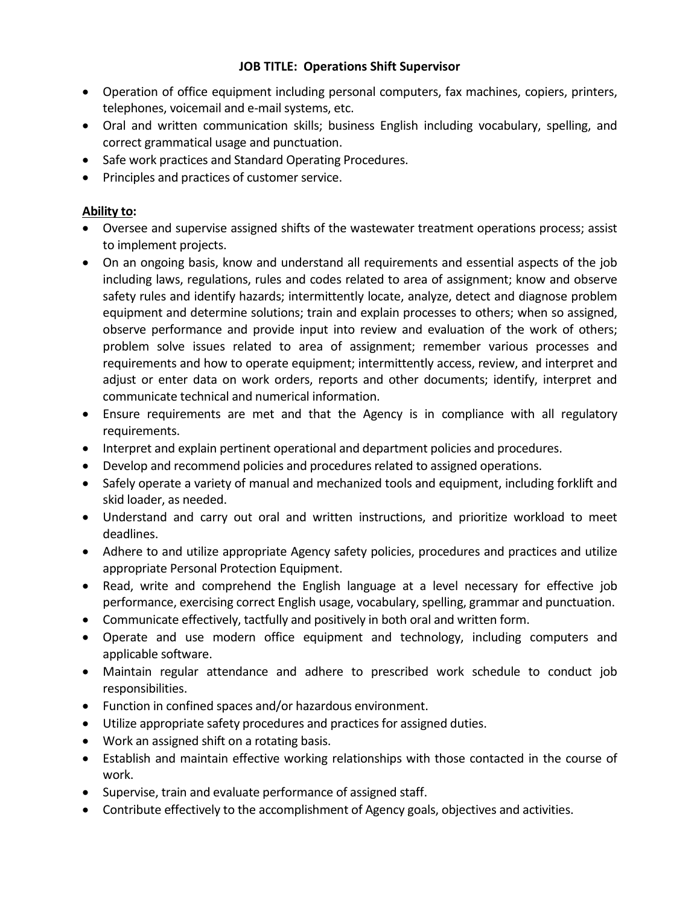- Operation of office equipment including personal computers, fax machines, copiers, printers, telephones, voicemail and e-mail systems, etc.
- Oral and written communication skills; business English including vocabulary, spelling, and correct grammatical usage and punctuation.
- Safe work practices and Standard Operating Procedures.
- Principles and practices of customer service.

## **Ability to:**

- Oversee and supervise assigned shifts of the wastewater treatment operations process; assist to implement projects.
- On an ongoing basis, know and understand all requirements and essential aspects of the job including laws, regulations, rules and codes related to area of assignment; know and observe safety rules and identify hazards; intermittently locate, analyze, detect and diagnose problem equipment and determine solutions; train and explain processes to others; when so assigned, observe performance and provide input into review and evaluation of the work of others; problem solve issues related to area of assignment; remember various processes and requirements and how to operate equipment; intermittently access, review, and interpret and adjust or enter data on work orders, reports and other documents; identify, interpret and communicate technical and numerical information.
- Ensure requirements are met and that the Agency is in compliance with all regulatory requirements.
- Interpret and explain pertinent operational and department policies and procedures.
- Develop and recommend policies and procedures related to assigned operations.
- Safely operate a variety of manual and mechanized tools and equipment, including forklift and skid loader, as needed.
- Understand and carry out oral and written instructions, and prioritize workload to meet deadlines.
- Adhere to and utilize appropriate Agency safety policies, procedures and practices and utilize appropriate Personal Protection Equipment.
- Read, write and comprehend the English language at a level necessary for effective job performance, exercising correct English usage, vocabulary, spelling, grammar and punctuation.
- Communicate effectively, tactfully and positively in both oral and written form.
- Operate and use modern office equipment and technology, including computers and applicable software.
- Maintain regular attendance and adhere to prescribed work schedule to conduct job responsibilities.
- Function in confined spaces and/or hazardous environment.
- Utilize appropriate safety procedures and practices for assigned duties.
- Work an assigned shift on a rotating basis.
- Establish and maintain effective working relationships with those contacted in the course of work.
- Supervise, train and evaluate performance of assigned staff.
- Contribute effectively to the accomplishment of Agency goals, objectives and activities.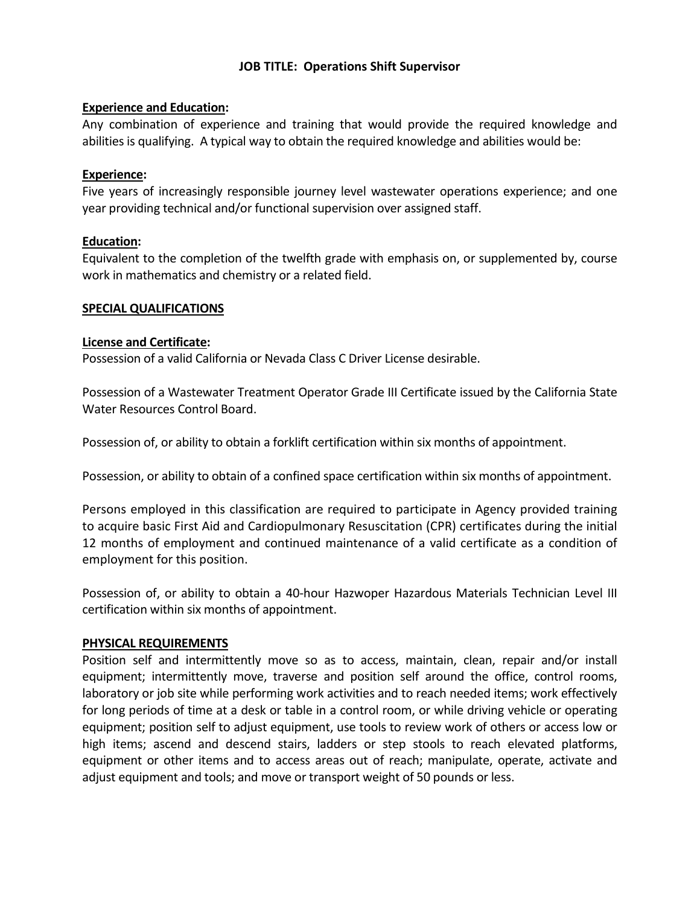## **Experience and Education:**

Any combination of experience and training that would provide the required knowledge and abilities is qualifying. A typical way to obtain the required knowledge and abilities would be:

#### **Experience:**

Five years of increasingly responsible journey level wastewater operations experience; and one year providing technical and/or functional supervision over assigned staff.

## **Education:**

Equivalent to the completion of the twelfth grade with emphasis on, or supplemented by, course work in mathematics and chemistry or a related field.

#### **SPECIAL QUALIFICATIONS**

#### **License and Certificate:**

Possession of a valid California or Nevada Class C Driver License desirable.

Possession of a Wastewater Treatment Operator Grade III Certificate issued by the California State Water Resources Control Board.

Possession of, or ability to obtain a forklift certification within six months of appointment.

Possession, or ability to obtain of a confined space certification within six months of appointment.

Persons employed in this classification are required to participate in Agency provided training to acquire basic First Aid and Cardiopulmonary Resuscitation (CPR) certificates during the initial 12 months of employment and continued maintenance of a valid certificate as a condition of employment for this position.

Possession of, or ability to obtain a 40-hour Hazwoper Hazardous Materials Technician Level III certification within six months of appointment.

## **PHYSICAL REQUIREMENTS**

Position self and intermittently move so as to access, maintain, clean, repair and/or install equipment; intermittently move, traverse and position self around the office, control rooms, laboratory or job site while performing work activities and to reach needed items; work effectively for long periods of time at a desk or table in a control room, or while driving vehicle or operating equipment; position self to adjust equipment, use tools to review work of others or access low or high items; ascend and descend stairs, ladders or step stools to reach elevated platforms, equipment or other items and to access areas out of reach; manipulate, operate, activate and adjust equipment and tools; and move or transport weight of 50 pounds or less.